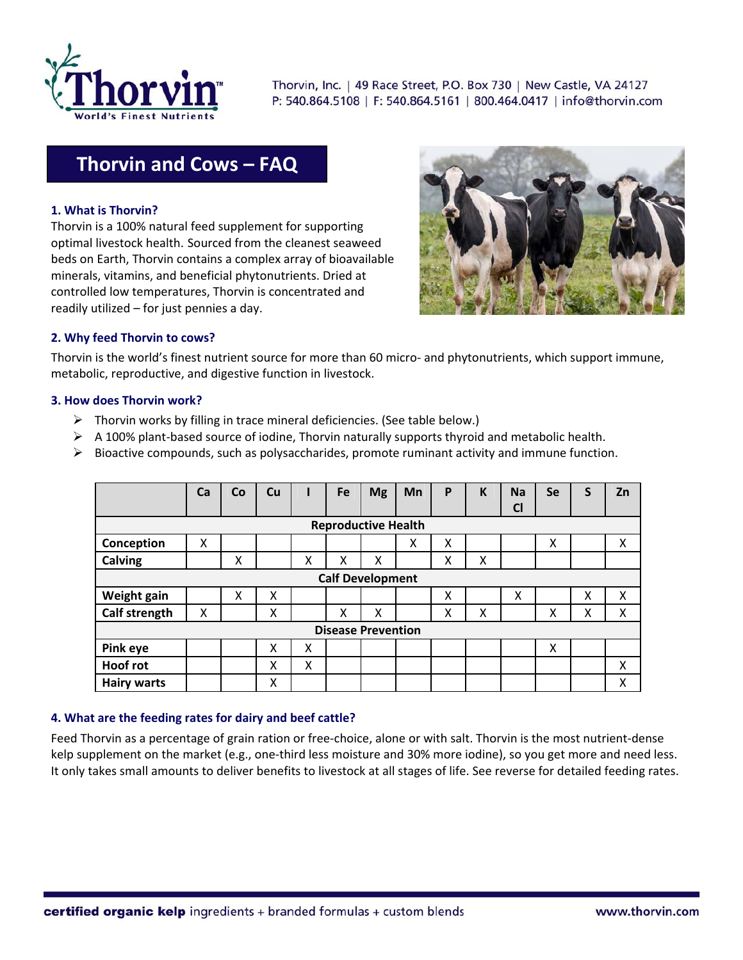

Thorvin, Inc. | 49 Race Street, P.O. Box 730 | New Castle, VA 24127 P: 540.864.5108 | F: 540.864.5161 | 800.464.0417 | info@thorvin.com

# **Thorvin and Cows – FAQ**

## **1. What is Thorvin?**

Thorvin is a 100% natural feed supplement for supporting optimal livestock health. Sourced from the cleanest seaweed beds on Earth, Thorvin contains a complex array of bioavailable minerals, vitamins, and beneficial phytonutrients. Dried at controlled low temperatures, Thorvin is concentrated and readily utilized – for just pennies a day.



## **2. Why feed Thorvin to cows?**

Thorvin is the world's finest nutrient source for more than 60 micro‐ and phytonutrients, which support immune, metabolic, reproductive, and digestive function in livestock.

#### **3. How does Thorvin work?**

- $\triangleright$  Thorvin works by filling in trace mineral deficiencies. (See table below.)
- A 100% plant‐based source of iodine, Thorvin naturally supports thyroid and metabolic health.
- $\triangleright$  Bioactive compounds, such as polysaccharides, promote ruminant activity and immune function.

|                            | Ca | Co | <b>Cu</b> |   | Fe | <b>Mg</b> | Mn | P | K | <b>Na</b><br>C <sub>l</sub> | <b>Se</b> | S | Zn |
|----------------------------|----|----|-----------|---|----|-----------|----|---|---|-----------------------------|-----------|---|----|
| <b>Reproductive Health</b> |    |    |           |   |    |           |    |   |   |                             |           |   |    |
| Conception                 | X  |    |           |   |    |           | Χ  | x |   |                             | X         |   | Χ  |
| Calving                    |    | Χ  |           | X | x  | Χ         |    | Χ | Χ |                             |           |   |    |
| <b>Calf Development</b>    |    |    |           |   |    |           |    |   |   |                             |           |   |    |
| Weight gain                |    | X  | X         |   |    |           |    | X |   | X                           |           | X | X  |
| Calf strength              | X  |    | X         |   | X  | X         |    | X | X |                             | X         | Χ | X  |
| <b>Disease Prevention</b>  |    |    |           |   |    |           |    |   |   |                             |           |   |    |
| Pink eye                   |    |    | X         | X |    |           |    |   |   |                             | X         |   |    |
| <b>Hoof rot</b>            |    |    | x         | X |    |           |    |   |   |                             |           |   | X  |
| <b>Hairy warts</b>         |    |    | X         |   |    |           |    |   |   |                             |           |   | χ  |

#### **4. What are the feeding rates for dairy and beef cattle?**

Feed Thorvin as a percentage of grain ration or free-choice, alone or with salt. Thorvin is the most nutrient-dense kelp supplement on the market (e.g., one-third less moisture and 30% more iodine), so you get more and need less. It only takes small amounts to deliver benefits to livestock at all stages of life. See reverse for detailed feeding rates.